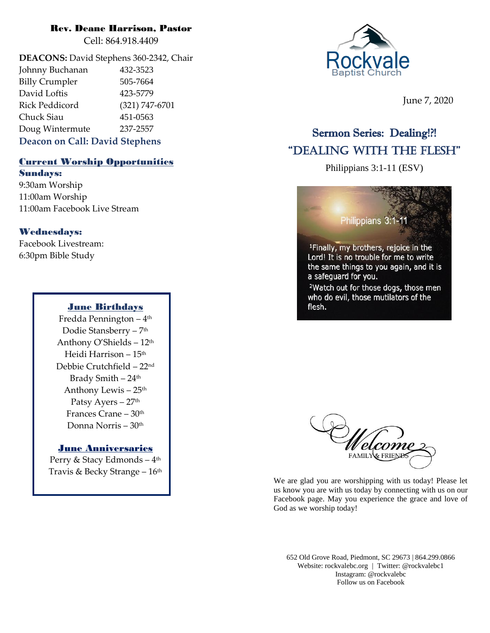### Rev. Deane Harrison, Pastor

Cell: 864.918.4409

**DEACONS:** David Stephens 360-2342, Chair Johnny Buchanan 432-3523 Billy Crumpler 505-7664 David Loftis 423-5779 Rick Peddicord (321) 747-6701 Chuck Siau 451-0563 Doug Wintermute 237-2557 **Deacon on Call: David Stephens**

# Current Worship Opportunities

Sundays:

9:30am Worship 11:00am Worship 11:00am Facebook Live Stream

## Wednesdays:

Facebook Livestream: 6:30pm Bible Study

## June Birthdays

Fredda Pennington – 4 th Dodie Stansberry – 7 th Anthony O'Shields – 12th Heidi Harrison – 15th Debbie Crutchfield – 22nd Brady Smith  $-24$ <sup>th</sup> Anthony Lewis – 25 th Patsy Ayers - 27<sup>th</sup> Frances Crane – 30<sup>th</sup> Donna Norris – 30th

## **June Anniversaries**

Perry & Stacy Edmonds – 4 th Travis & Becky Strange – 16 th



June 7, 2020

## Sermon Series: Dealing!?! "Dealing With the Flesh"

Philippians 3:1-11 (ESV)





We are glad you are worshipping with us today! Please let us know you are with us today by connecting with us on our Facebook page. May you experience the grace and love of God as we worship today!

652 Old Grove Road, Piedmont, SC 29673 | 864.299.0866 Website: rockvalebc.org *|* Twitter: @rockvalebc1 Instagram: @rockvalebc Follow us on Facebook